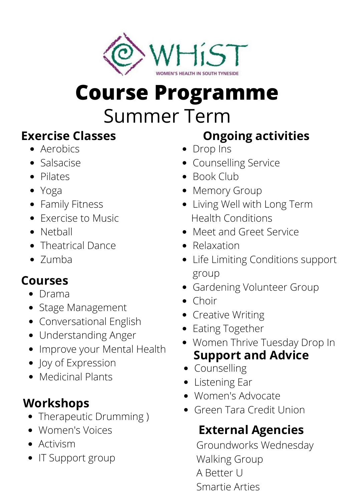

# **Course Programme**

## Summer Term

- Aerobics
- Salsacise
- Pilates
- Yoga
- Family Fitness
- Exercise to Music
- Netball
- Theatrical Dance
- Zumba

### **Courses**

- Drama
- Stage Management
- Conversational English
- Understanding Anger
- Improve your Mental Health
- Joy of Expression
- Medicinal Plants

### **Workshops**

- Therapeutic Drumming )
- Women's Voices
- Activism
- IT Support group

### **Exercise Classes Ongoing activities**

- Drop Ins
- Counselling Service
- Book Club
- Memory Group
- Living Well with Long Term Health Conditions
- Meet and Greet Service
- Relaxation
- Life Limiting Conditions support group
- Gardening Volunteer Group
- Choir
- Creative Writing
- Eating Together
- **Support and Advice** Women Thrive Tuesday Drop In
- Counselling
- Listening Ear
- Women's Advocate
- Green Tara Credit Union

### **External Agencies**

Groundworks Wednesday Walking Group A Better U Smartie Arties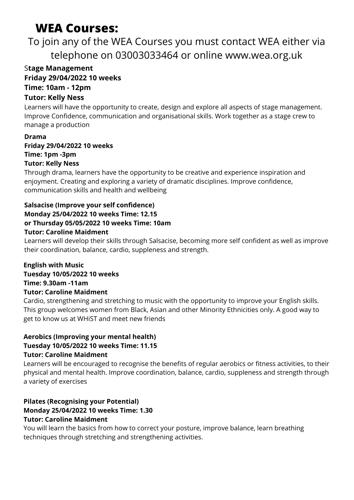### **WEA Courses:**

### To join any of the WEA Courses you must contact WEA either via telephone on 03003033464 or online www.wea.org.uk

#### S**tage Management Friday 29/04/2022 10 weeks Time: 10am - 12pm**

#### **Tutor: Kelly Ness**

Learners will have the opportunity to create, design and explore all aspects of stage management. Improve Confidence, communication and organisational skills. Work together as a stage crew to manage a production

#### **Drama Friday 29/04/2022 10 weeks Time: 1pm -3pm Tutor: Kelly Ness**

Through drama, learners have the opportunity to be creative and experience inspiration and enjoyment. Creating and exploring a variety of dramatic disciplines. Improve confidence, communication skills and health and wellbeing

#### **Salsacise (Improve your self confidence) Monday 25/04/2022 10 weeks Time: 12.15 or Thursday 05/05/2022 10 weeks Time: 10am Tutor: Caroline Maidment**

Learners will develop their skills through Salsacise, becoming more self confident as well as improve their coordination, balance, cardio, suppleness and strength.

#### **English with Music Tuesday 10/05/2022 10 weeks Time: 9.30am -11am Tutor: Caroline Maidment**

Cardio, strengthening and stretching to music with the opportunity to improve your English skills. This group welcomes women from Black, Asian and other Minority Ethnicities only. A good way to get to know us at WHiST and meet new friends

#### **Aerobics (Improving your mental health) Tuesday 10/05/2022 10 weeks Time: 11.15 Tutor: Caroline Maidment**

Learners will be encouraged to recognise the benefits of regular aerobics or fitness activities, to their physical and mental health. Improve coordination, balance, cardio, suppleness and strength through a variety of exercises

#### **Pilates (Recognising your Potential) Monday 25/04/2022 10 weeks Time: 1.30 Tutor: Caroline Maidment**

You will learn the basics from how to correct your posture, improve balance, learn breathing techniques through stretching and strengthening activities.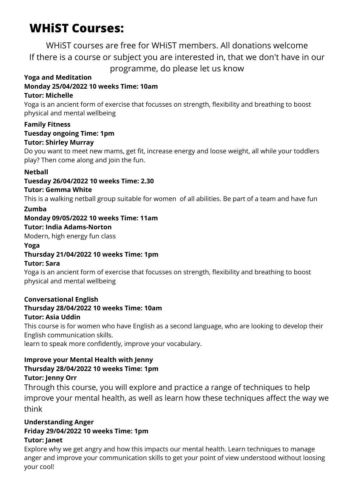### **WHiST Courses:**

WHiST courses are free for WHiST members. All donations welcome If there is a course or subject you are interested in, that we don't have in our programme, do please let us know

#### **Yoga and Meditation**

#### **Monday 25/04/2022 10 weeks Time: 10am**

#### **Tutor: Michelle**

Yoga is an ancient form of exercise that focusses on strength, flexibility and breathing to boost physical and mental wellbeing

#### **Family Fitness Tuesday ongoing Time: 1pm**

**Tutor: Shirley Murray**

Do you want to meet new mams, get fit, increase energy and loose weight, all while your toddlers play? Then come along and join the fun.

#### **Netball**

#### **Tuesday 26/04/2022 10 weeks Time: 2.30**

#### **Tutor: Gemma White**

This is a walking netball group suitable for women of all abilities. Be part of a team and have fun

#### **Zumba**

#### **Monday 09/05/2022 10 weeks Time: 11am**

**Tutor: India Adams-Norton**

Modern, high energy fun class

#### **Yoga**

#### **Thursday 21/04/2022 10 weeks Time: 1pm**

#### **Tutor: Sara**

Yoga is an ancient form of exercise that focusses on strength, flexibility and breathing to boost physical and mental wellbeing

#### **Conversational English**

#### **Thursday 28/04/2022 10 weeks Time: 10am**

#### **Tutor: Asia Uddin**

This course is for women who have English as a second language, who are looking to develop their English communication skills.

learn to speak more confidently, improve your vocabulary.

#### **Improve your Mental Health with Jenny Thursday 28/04/2022 10 weeks Time: 1pm Tutor: Jenny Orr**

Through this course, you will explore and practice a range of techniques to help improve your mental health, as well as learn how these techniques affect the way we think

#### **Understanding Anger**

#### **Friday 29/04/2022 10 weeks Time: 1pm**

#### **Tutor: Janet**

Explore why we get angry and how this impacts our mental health. Learn techniques to manage anger and improve your communication skills to get your point of view understood without loosing your cool!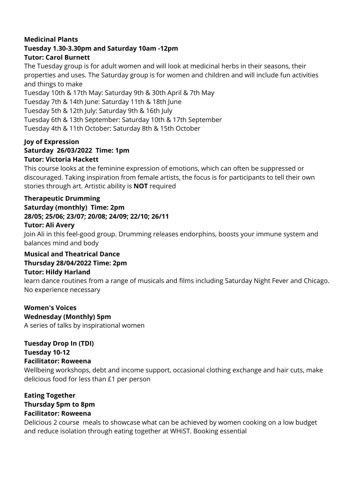#### **Medicinal Plants Tuesday 1.30-3.30pm and Saturday 10am -12pm Tutor: Carol Burnett**

The Tuesday group is for adult women and will look at medicinal herbs in their seasons, their properties and uses. The Saturday group is for women and children and will include fun activities and things to make

Tuesday 10th & 17th May: Saturday 9th & 30th April & 7th May Tuesday 7th & 14th June: Saturday 11th & 18th June Tuesday 5th & 12th July: Saturday 9th & 16th July Tuesday 6th & 13th September: Saturday 10th & 17th September Tuesday 4th & 11th October: Saturday 8th & 15th October

#### **Joy of Expression Saturday 26/03/2022 Time: 1pm Tutor: Victoria Hackett**

This course looks at the feminine expression of emotions, which can often be suppressed or discouraged. Taking inspiration from female artists, the focus is for participants to tell their own stories through art. Artistic ability is **NOT** required

#### **Therapeutic Drumming Saturday (monthly) Time: 2pm 28/05; 25/06; 23/07; 20/08; 24/09; 22/10; 26/11 Tutor: Ali Avery**

Join Ali in this feel-good group. Drumming releases endorphins, boosts your immune system and balances mind and body

#### **Musical and Theatrical Dance Thursday 28/04/2022 Time: 2pm**

#### **Tutor: Hildy Harland**

learn dance routines from a range of musicals and films including Saturday Night Fever and Chicago. No experience necessary

#### **Women's Voices Wednesday (Monthly) 5pm**

A series of talks by inspirational women

#### **Tuesday Drop In (TDI) Tuesday 10-12**

#### **Facilitator: Roweena**

Wellbeing workshops, debt and income support, occasional clothing exchange and hair cuts, make delicious food for less than £1 per person

#### **Eating Together Thursday 5pm to 8pm Facilitator: Roweena**

Delicious 2 course meals to showcase what can be achieved by women cooking on a low budget and reduce isolation through eating together at WHiST. Booking essential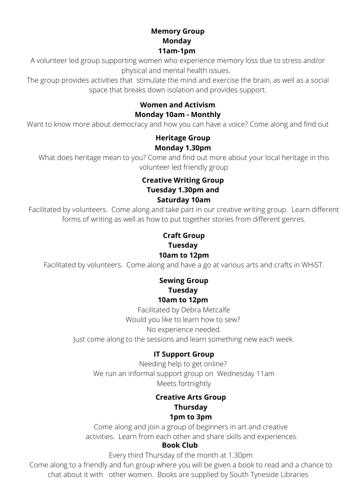#### **Memory Group Monday 11am-1pm**

A volunteer led group supporting women who experience memory loss due to stress and/or physical and mental health issues.

The group provides activities that stimulate the mind and exercise the brain, as well as a social space that breaks down isolation and provides support.

#### **Women and Activism Monday 10am - Monthly**

Want to know more about democracy and how you can have a voice? Come along and find out

#### **Heritage Group Monday 1.30pm**

What does heritage mean to you? Come and find out more about your local heritage in this volunteer led friendly group

#### **Creative Writing Group Tuesday 1.30pm and Saturday 10am**

Facilitated by volunteers. Come along and take part in our creative writing group. Learn different forms of writing as well as how to put together stories from different genres.

#### **Craft Group Tuesday 10am to 12pm**

Facilitated by volunteers. Come along and have a go at various arts and crafts in WHiST.

#### **Sewing Group Tuesday 10am to 12pm**

Facilitated by Debra Metcalfe Would you like to learn how to sew? No experience needed.

Just come along to the sessions and learn something new each week.

#### **IT Support Group**

Needing help to get online? We run an informal support group on Wednesday 11am Meets fortnightly

#### **Creative Arts Group Thursday**

#### **1pm to 3pm**

Come along and join a group of beginners in art and creative activities. Learn from each other and share skills and experiences.

#### **Book Club**

Every third Thursday of the month at 1.30pm

Come along to a friendly and fun group where you will be given a book to read and a chance to chat about it with other women. Books are supplied by South Tyneside Libraries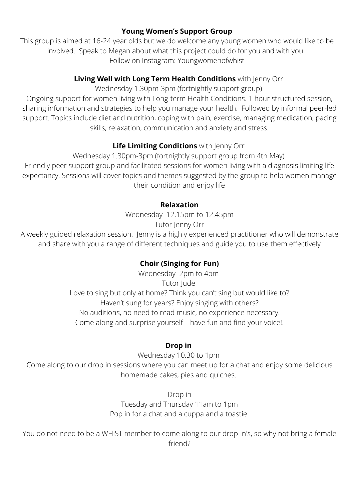#### **Young Women's Support Group**

This group is aimed at 16-24 year olds but we do welcome any young women who would like to be involved. Speak to Megan about what this project could do for you and with you. Follow on Instagram: Youngwomenofwhist

#### **Living Well with Long Term Health Conditions** with Jenny Orr

Wednesday 1.30pm-3pm (fortnightly support group)

Ongoing support for women living with Long-term Health Conditions. 1 hour structured session, sharing information and strategies to help you manage your health. Followed by informal peer-led support. Topics include diet and nutrition, coping with pain, exercise, managing medication, pacing skills, relaxation, communication and anxiety and stress.

#### **Life Limiting Conditions** with Jenny Orr

Wednesday 1.30pm-3pm (fortnightly support group from 4th May) Friendly peer support group and facilitated sessions for women living with a diagnosis limiting life expectancy. Sessions will cover topics and themes suggested by the group to help women manage their condition and enjoy life

#### **Relaxation**

Wednesday 12.15pm to 12.45pm Tutor Jenny Orr

A weekly guided relaxation session. Jenny is a highly experienced practitioner who will demonstrate and share with you a range of different techniques and guide you to use them effectively

#### **Choir (Singing for Fun)**

Wednesday 2pm to 4pm Tutor **Jude** Love to sing but only at home? Think you can't sing but would like to? Haven't sung for years? Enjoy singing with others? No auditions, no need to read music, no experience necessary. Come along and surprise yourself – have fun and find your voice!.

#### **Drop in**

Wednesday 10.30 to 1pm Come along to our drop in sessions where you can meet up for a chat and enjoy some delicious homemade cakes, pies and quiches.

> Drop in Tuesday and Thursday 11am to 1pm Pop in for a chat and a cuppa and a toastie

You do not need to be a WHiST member to come along to our drop-in's, so why not bring a female friend?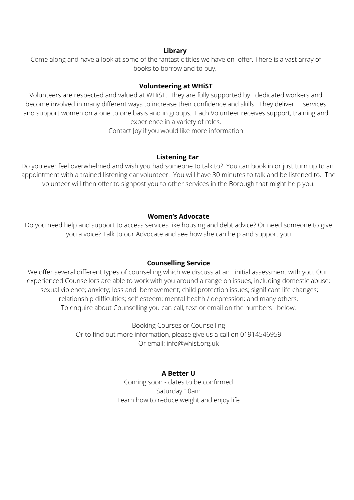#### **Library**

Come along and have a look at some of the fantastic titles we have on offer. There is a vast array of books to borrow and to buy.

#### **Volunteering at WHiST**

Volunteers are respected and valued at WHiST. They are fully supported by dedicated workers and become involved in many different ways to increase their confidence and skills. They deliver services and support women on a one to one basis and in groups. Each Volunteer receives support, training and experience in a variety of roles.

Contact Joy if you would like more information

#### **Listening Ear**

Do you ever feel overwhelmed and wish you had someone to talk to? You can book in or just turn up to an appointment with a trained listening ear volunteer. You will have 30 minutes to talk and be listened to. The volunteer will then offer to signpost you to other services in the Borough that might help you.

#### **Women's Advocate**

Do you need help and support to access services like housing and debt advice? Or need someone to give you a voice? Talk to our Advocate and see how she can help and support you

#### **Counselling Service**

We offer several different types of counselling which we discuss at an initial assessment with you. Our experienced Counsellors are able to work with you around a range on issues, including domestic abuse; sexual violence; anxiety; loss and bereavement; child protection issues; significant life changes; relationship difficulties; self esteem; mental health / depression; and many others. To enquire about Counselling you can call, text or email on the numbers below.

> Booking Courses or Counselling Or to find out more information, please give us a call on 01914546959 Or email: info@whist.org.uk

#### **A Better U**

Coming soon - dates to be confirmed Saturday 10am Learn how to reduce weight and enjoy life